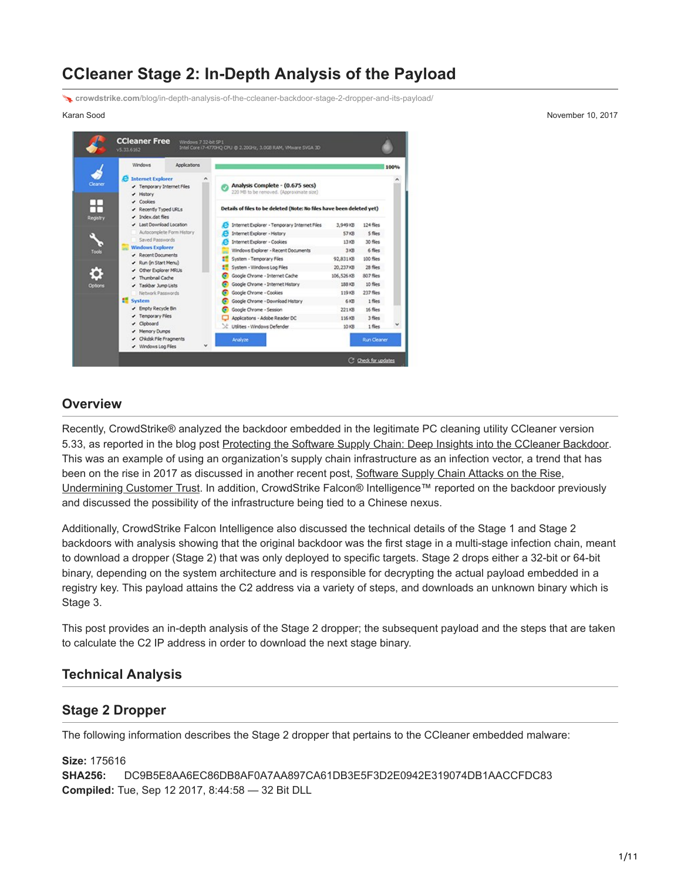# **CCleaner Stage 2: In-Depth Analysis of the Payload**

**crowdstrike.com**[/blog/in-depth-analysis-of-the-ccleaner-backdoor-stage-2-dropper-and-its-payload/](https://www.crowdstrike.com/blog/in-depth-analysis-of-the-ccleaner-backdoor-stage-2-dropper-and-its-payload/)



Karan Sood November 10, 2017

## **Overview**

Recently, CrowdStrike® analyzed the backdoor embedded in the legitimate PC cleaning utility CCleaner version 5.33, as reported in the blog post [Protecting the Software Supply Chain: Deep Insights into the CCleaner Backdoor.](https://www.crowdstrike.com/blog/protecting-software-supply-chain-deep-insights-ccleaner-backdoor/) This was an example of using an organization's supply chain infrastructure as an infection vector, a trend that has been on the rise in 2017 as discussed in another recent post, Software Supply Chain Attacks on the Rise, [Undermining Customer Trust. In addition, CrowdStrike Falcon® Intelligence™ reported on the backdoor pr](https://www.crowdstrike.com/blog/software-supply-chain-attacks-rise-undermining-customer-trust/)eviously and discussed the possibility of the infrastructure being tied to a Chinese nexus.

Additionally, CrowdStrike Falcon Intelligence also discussed the technical details of the Stage 1 and Stage 2 backdoors with analysis showing that the original backdoor was the first stage in a multi-stage infection chain, meant to download a dropper (Stage 2) that was only deployed to specific targets. Stage 2 drops either a 32-bit or 64-bit binary, depending on the system architecture and is responsible for decrypting the actual payload embedded in a registry key. This payload attains the C2 address via a variety of steps, and downloads an unknown binary which is Stage 3.

This post provides an in-depth analysis of the Stage 2 dropper; the subsequent payload and the steps that are taken to calculate the C2 IP address in order to download the next stage binary.

#### **Technical Analysis**

#### **Stage 2 Dropper**

The following information describes the Stage 2 dropper that pertains to the CCleaner embedded malware:

**Size:** 175616 **SHA256:** DC9B5E8AA6EC86DB8AF0A7AA897CA61DB3E5F3D2E0942E319074DB1AACCFDC83 **Compiled:** Tue, Sep 12 2017, 8:44:58 — 32 Bit DLL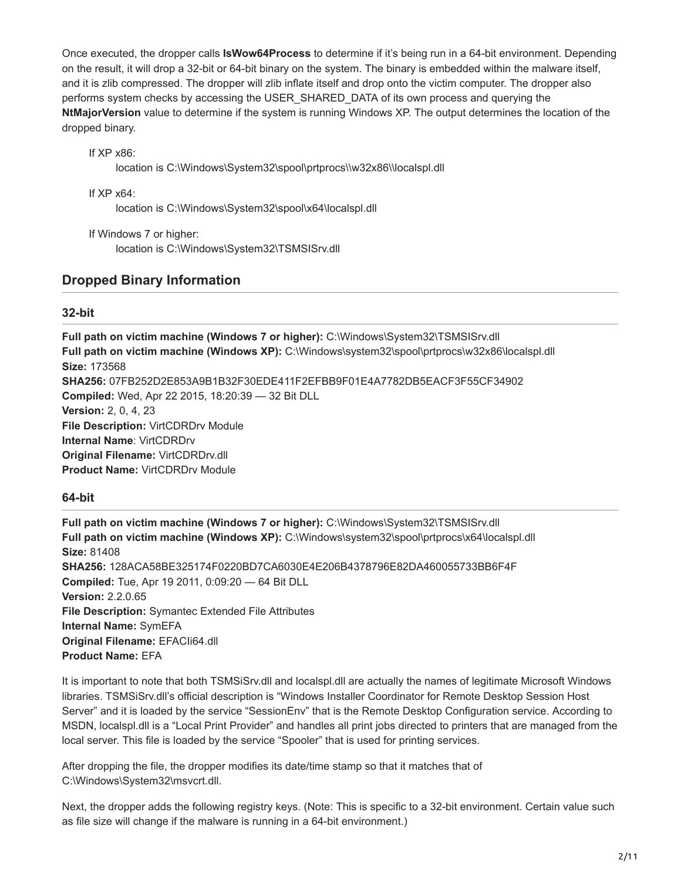Once executed, the dropper calls **IsWow64Process** to determine if it's being run in a 64-bit environment. Depending on the result, it will drop a 32-bit or 64-bit binary on the system. The binary is embedded within the malware itself, and it is zlib compressed. The dropper will zlib inflate itself and drop onto the victim computer. The dropper also performs system checks by accessing the USER\_SHARED\_DATA of its own process and querying the **NtMajorVersion** value to determine if the system is running Windows XP. The output determines the location of the dropped binary.

If XP x86:

location is C:\Windows\System32\spool\prtprocs\\w32x86\\localspl.dll

If XP x64:

location is C:\Windows\System32\spool\x64\localspl.dll

If Windows 7 or higher:

location is C:\Windows\System32\TSMSISrv.dll

## **Dropped Binary Information**

#### **32-bit**

**Full path on victim machine (Windows 7 or higher): C:\Windows\System32\TSMSISrv.dll Full path on victim machine (Windows XP):** C:\Windows\system32\spool\prtprocs\w32x86\localspl.dll **Size:** 173568 **SHA256:** 07FB252D2E853A9B1B32F30EDE411F2EFBB9F01E4A7782DB5EACF3F55CF34902 **Compiled:** Wed, Apr 22 2015, 18:20:39 — 32 Bit DLL **Version:** 2, 0, 4, 23 **File Description:** VirtCDRDrv Module **Internal Name**: VirtCDRDrv **Original Filename:** VirtCDRDrv.dll **Product Name:** VirtCDRDrv Module

#### **64-bit**

**Full path on victim machine (Windows 7 or higher):** C:\Windows\System32\TSMSISrv.dll **Full path on victim machine (Windows XP):** C:\Windows\system32\spool\prtprocs\x64\localspl.dll **Size:** 81408 **SHA256:** 128ACA58BE325174F0220BD7CA6030E4E206B4378796E82DA460055733BB6F4F **Compiled:** Tue, Apr 19 2011, 0:09:20 — 64 Bit DLL **Version:** 2.2.0.65 **File Description:** Symantec Extended File Attributes **Internal Name:** SymEFA **Original Filename:** EFACIi64.dll **Product Name:** EFA

It is important to note that both TSMSiSrv.dll and localspl.dll are actually the names of legitimate Microsoft Windows libraries. TSMSiSrv.dll's official description is "Windows Installer Coordinator for Remote Desktop Session Host Server" and it is loaded by the service "SessionEnv" that is the Remote Desktop Configuration service. According to MSDN, localspl.dll is a "Local Print Provider" and handles all print jobs directed to printers that are managed from the local server. This file is loaded by the service "Spooler" that is used for printing services.

After dropping the file, the dropper modifies its date/time stamp so that it matches that of C:\Windows\System32\msvcrt.dll.

Next, the dropper adds the following registry keys. (Note: This is specific to a 32-bit environment. Certain value such as file size will change if the malware is running in a 64-bit environment.)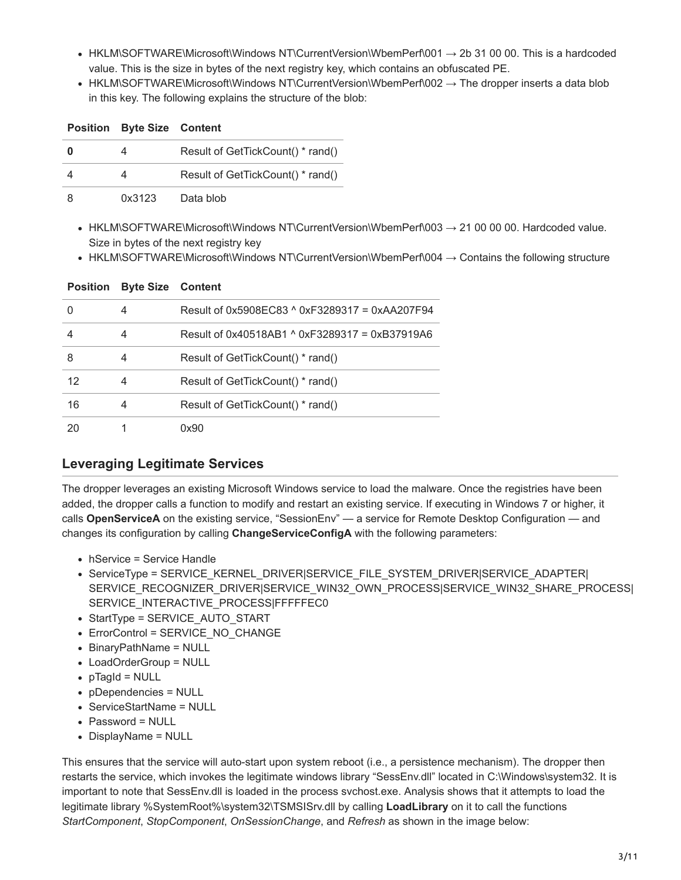- HKLM\SOFTWARE\Microsoft\Windows NT\CurrentVersion\WbemPerf\001  $\rightarrow$  2b 31 00 00. This is a hardcoded value. This is the size in bytes of the next registry key, which contains an obfuscated PE.
- HKLM\SOFTWARE\Microsoft\Windows NT\CurrentVersion\WbemPerf\002  $\rightarrow$  The dropper inserts a data blob in this key. The following explains the structure of the blob:

|   | <b>Position Byte Size Content</b> |                                   |
|---|-----------------------------------|-----------------------------------|
| 0 |                                   | Result of GetTickCount() * rand() |
|   |                                   | Result of GetTickCount() * rand() |
| 8 | 0x3123                            | Data blob                         |

- $\bullet$  HKLM\SOFTWARE\Microsoft\Windows NT\CurrentVersion\WbemPerf\003  $\rightarrow$  21 00 00 00. Hardcoded value. Size in bytes of the next registry key
- HKLM\SOFTWARE\Microsoft\Windows NT\CurrentVersion\WbemPerf\004 → Contains the following structure

| <b>Position</b> | <b>Byte Size Content</b> |                                                |
|-----------------|--------------------------|------------------------------------------------|
|                 | 4                        | Result of 0x5908FC83 ^ 0xF3289317 = 0xAA207F94 |
|                 | 4                        | Result of 0x40518AB1 ^ 0xF3289317 = 0xB37919A6 |
| 8               | 4                        | Result of GetTickCount() * rand()              |
| 12              | 4                        | Result of GetTickCount() * rand()              |
| 16              | 4                        | Result of GetTickCount() * rand()              |
| 20              |                          | 0x90                                           |

## **Leveraging Legitimate Services**

The dropper leverages an existing Microsoft Windows service to load the malware. Once the registries have been added, the dropper calls a function to modify and restart an existing service. If executing in Windows 7 or higher, it calls **OpenServiceA** on the existing service, "SessionEnv" — a service for Remote Desktop Configuration — and changes its configuration by calling **ChangeServiceConfigA** with the following parameters:

- hService = Service Handle
- ServiceType = SERVICE\_KERNEL\_DRIVER|SERVICE\_FILE\_SYSTEM\_DRIVER|SERVICE\_ADAPTER| SERVICE\_RECOGNIZER\_DRIVER|SERVICE\_WIN32\_OWN\_PROCESS|SERVICE\_WIN32\_SHARE\_PROCESS| SERVICE\_INTERACTIVE\_PROCESS|FFFFFEC0
- StartType = SERVICE\_AUTO\_START
- ErrorControl = SERVICE\_NO\_CHANGE
- BinaryPathName = NULL
- LoadOrderGroup = NULL
- pTagId = NULL
- pDependencies = NULL
- ServiceStartName = NULL
- Password = NULL
- DisplayName = NULL

This ensures that the service will auto-start upon system reboot (i.e., a persistence mechanism). The dropper then restarts the service, which invokes the legitimate windows library "SessEnv.dll" located in C:\Windows\system32. It is important to note that SessEnv.dll is loaded in the process svchost.exe. Analysis shows that it attempts to load the legitimate library %SystemRoot%\system32\TSMSISrv.dll by calling **LoadLibrary** on it to call the functions *StartComponent*, *StopComponent*, *OnSessionChange*, and *Refresh* as shown in the image below: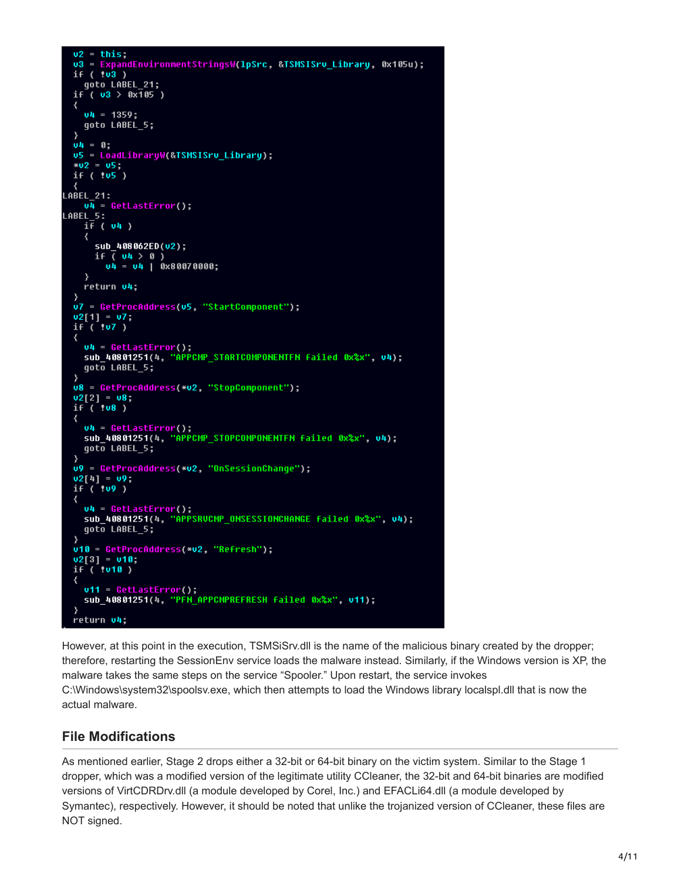```
u2 = this:
  v3 = ExpandEnvironmentStringsW(1pSrc, &TSMSISrv Library, 0x105u);
  if (103)goto LABEL_21;
  if (03 > 0x105)₹
    04 = 1359;
    goto LABEL_5;
  04 = 0;u5 = LoadLibraryW(&TSMSISrv_Library);
  *02 = 05;if('105")A\dot{B}EL_21:
    \overline{u4} = GetLastError();
LABEL 5:
    i\bar{f} ( v4 )
    \epsilonsub_408062ED(v2);
      if \sqrt{04} > 0)
        04 = 04 | 0x80070000;
    return v4;
  u7 = GetProcAddress(u5, "StartComponent");
  02[1] = 07;<br>if ( 07 )
  ₹
    u4 = GetLastError();<br>sub_40801251(4, "APPCMP_STARTCOMPONENTFN failed 0x%x", v4);
    qot\overline{o} LABEL 5;
  u8 = GetProcAddress(*u2, "StopComponent");
  02[2] = 08;if('108)₹
    u4 = GetLastError();<br>sub_40801251(4, "APPCMP_STOPCOMPONENTFN failed 0x%x", v4);
    goto LABEL 5;
  u9 = GetProcAddress(*v2, "OnSessionChange");
  02[4] = 09;
  if'(109)₹
    u4 = GetLastError();<br>sub_40801251(4, "APPSRUCMP_ONSESSIONCHANGE failed 0x%x", u4);
    goto LABEL_5;
  \mathcal{E}u10 = GetProcAddress(*u2, "Refresh");
  02[3] = 010,
  if('1010.)v11 = GetLastError();
    sub_40801251(4, "PFN_APPCMPREFRESH failed 0x%x", v11);
  \overline{\phantom{a}}return 04;
```
However, at this point in the execution, TSMSiSrv.dll is the name of the malicious binary created by the dropper; therefore, restarting the SessionEnv service loads the malware instead. Similarly, if the Windows version is XP, the malware takes the same steps on the service "Spooler." Upon restart, the service invokes C:\Windows\system32\spoolsv.exe, which then attempts to load the Windows library localspl.dll that is now the actual malware.

## **File Modifications**

As mentioned earlier, Stage 2 drops either a 32-bit or 64-bit binary on the victim system. Similar to the Stage 1 dropper, which was a modified version of the legitimate utility CCleaner, the 32-bit and 64-bit binaries are modified versions of VirtCDRDrv.dll (a module developed by Corel, Inc.) and EFACLi64.dll (a module developed by Symantec), respectively. However, it should be noted that unlike the trojanized version of CCleaner, these files are NOT signed.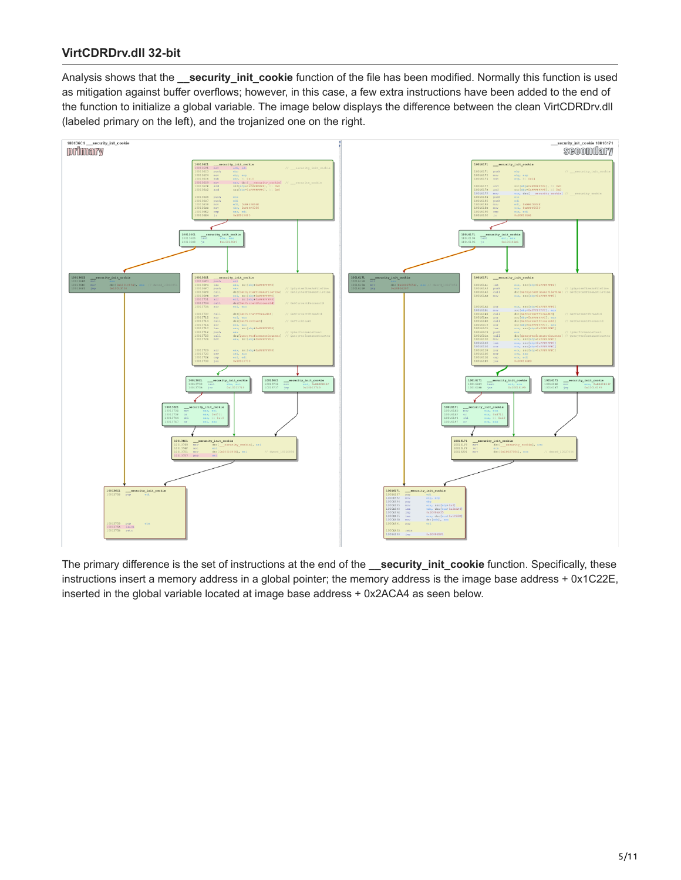## **VirtCDRDrv.dll 32-bit**

Analysis shows that the **\_\_security\_init\_cookie** function of the file has been modified. Normally this function is used as mitigation against buffer overflows; however, in this case, a few extra instructions have been added to the end of the function to initialize a global variable. The image below displays the difference between the clean VirtCDRDrv.dll (labeled primary on the left), and the trojanized one on the right.



The primary difference is the set of instructions at the end of the **\_\_security\_init\_cookie** function. Specifically, these instructions insert a memory address in a global pointer; the memory address is the image base address + 0x1C22E, inserted in the global variable located at image base address + 0x2ACA4 as seen below.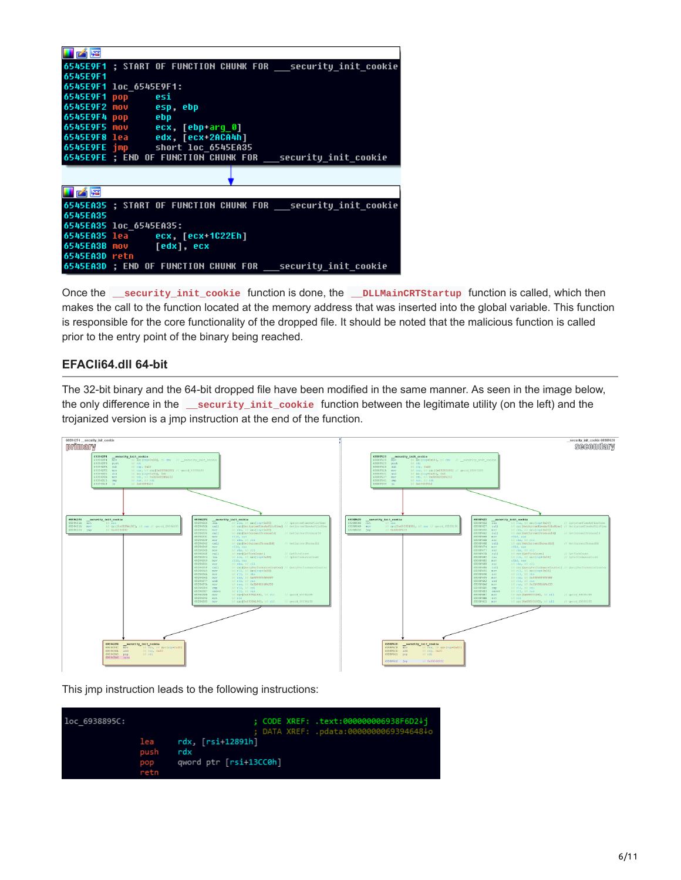| $\blacksquare$ |                                                              |
|----------------|--------------------------------------------------------------|
|                | 6545E9F1 ; START OF FUNCTION CHUNK FOR security init cookie  |
| 6545E9F1       |                                                              |
|                | 6545E9F1 loc 6545E9F1:                                       |
|                | 6545E9F1 pop esi                                             |
|                | 6545E9F2 mov esp, ebp                                        |
|                | 6545E9F4 pop ebp                                             |
|                | 6545E9F5 mov ecx, [ebp-arg_0]                                |
|                | 6545E9F8 lea edx, [ecx-2ACA4h]                               |
|                | 6545E9FE imp short loc 6545EA35                              |
|                | 6545E9FE ; END OF FUNCTION CHUNK FOR __ security_init_cookie |
|                |                                                              |
|                |                                                              |
| <b>HAE</b>     |                                                              |
|                |                                                              |
|                | 6545EA35 ; START OF FUNCTION CHUNK FOR security init cookie  |
| 6545EA35       |                                                              |
|                | 6545EA35 loc 6545EA35:                                       |
|                | 6545EA35 lea ecx, [ecx+1C22Eh]                               |
|                | 6545EA3B mov [edx], ecx                                      |
| 6545EA3D retn  | 6545EA3D ; END OF FUNCTION CHUNK FOR security init cookie    |

Once the **\_\_security\_init\_cookie** function is done, the **\_\_DLLMainCRTStartup** function is called, which then makes the call to the function located at the memory address that was inserted into the global variable. This function is responsible for the core functionality of the dropped file. It should be noted that the malicious function is called prior to the entry point of the binary being reached.

#### **EFACIi64.dll 64-bit**

The 32-bit binary and the 64-bit dropped file have been modified in the same manner. As seen in the image below, the only difference in the **\_\_security\_init\_cookie** function between the legitimate utility (on the left) and the trojanized version is a jmp instruction at the end of the function.



This jmp instruction leads to the following instructions:

| loc 6938895C: |                     | ; CODE XREF: .text:000000006938F6D2↓i<br>; DATA XREF: .pdata:0000000069394648↓o |
|---------------|---------------------|---------------------------------------------------------------------------------|
|               | push<br>pop<br>retn | $lea$ $rdx$ , $[rsi+12891h]$<br>rdx<br>qword ptr [rsi+13CC0h]                   |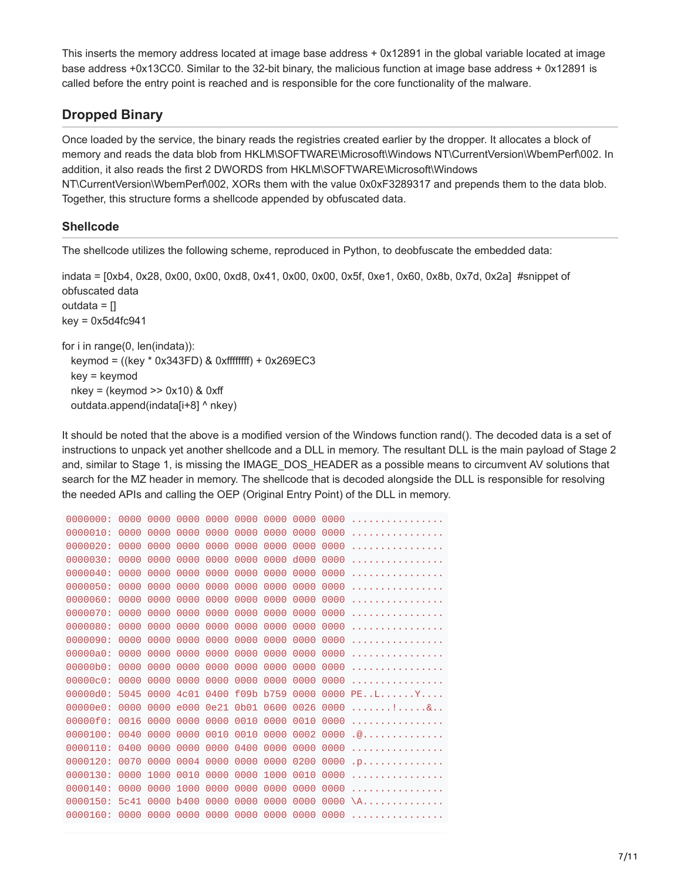This inserts the memory address located at image base address + 0x12891 in the global variable located at image base address +0x13CC0. Similar to the 32-bit binary, the malicious function at image base address + 0x12891 is called before the entry point is reached and is responsible for the core functionality of the malware.

## **Dropped Binary**

Once loaded by the service, the binary reads the registries created earlier by the dropper. It allocates a block of memory and reads the data blob from HKLM\SOFTWARE\Microsoft\Windows NT\CurrentVersion\WbemPerf\002. In addition, it also reads the first 2 DWORDS from HKLM\SOFTWARE\Microsoft\Windows NT\CurrentVersion\WbemPerf\002, XORs them with the value 0x0xF3289317 and prepends them to the data blob. Together, this structure forms a shellcode appended by obfuscated data.

## **Shellcode**

The shellcode utilizes the following scheme, reproduced in Python, to deobfuscate the embedded data:

indata = [0xb4, 0x28, 0x00, 0x00, 0xd8, 0x41, 0x00, 0x00, 0x5f, 0xe1, 0x60, 0x8b, 0x7d, 0x2a] #snippet of obfuscated data outdata =  $\Box$  $key = 0x5d4fc941$ for i in range(0, len(indata)): keymod = ((key \* 0x343FD) & 0xffffffff) + 0x269EC3 key = keymod  $nkey = (keymod \gg 0x10)$  & 0xff

outdata.append(indata $[i+8]$  ^ nkey)

It should be noted that the above is a modified version of the Windows function rand(). The decoded data is a set of instructions to unpack yet another shellcode and a DLL in memory. The resultant DLL is the main payload of Stage 2 and, similar to Stage 1, is missing the IMAGE\_DOS\_HEADER as a possible means to circumvent AV solutions that search for the MZ header in memory. The shellcode that is decoded alongside the DLL is responsible for resolving the needed APIs and calling the OEP (Original Entry Point) of the DLL in memory.

```
0000000: 0000 0000 0000 0000 0000 0000 0000 0000 ................
0000010: 0000 0000 0000 0000 0000 0000 0000 0000 ................
0000020: 0000 0000 0000 0000 0000 0000 0000 0000 ................
0000030: 0000 0000 0000 0000 0000 0000 d000 0000 ................
0000040: 0000 0000 0000 0000 0000 0000 0000 0000 ................
0000050: 0000 0000 0000 0000 0000 0000 0000 0000 ................
0000060: 0000 0000 0000 0000 0000 0000 0000 0000 ................
0000070: 0000 0000 0000 0000 0000 0000 0000 0000 ................
0000080: 0000 0000 0000 0000 0000 0000 0000 0000 ................
0000090: 0000 0000 0000 0000 0000 0000 0000 0000 ................
00000a0: 0000 0000 0000 0000 0000 0000 0000 0000 ................
00000b0: 0000 0000 0000 0000 0000 0000 0000 0000 ................
00000c0: 0000 0000 0000 0000 0000 0000 0000 0000 ................
00000d0: 5045 0000 4c01 0400 f09b b759 0000 0000 PE..L......Y....
00000e0: 0000 0000 e000 0e21 0b01 0600 0026 0000 .......!.....&..
00000f0: 0016 0000 0000 0000 0010 0000 0010 0000 ................
0000100: 0040 0000 0000 0010 0010 0000 0002 0000 .@..............
0000110: 0400 0000 0000 0000 0400 0000 0000 0000 ................
0000120: 0070 0000 0004 0000 0000 0000 0200 0000 .p..............
0000130: 0000 1000 0010 0000 0000 1000 0010 0000 ................
0000140: 0000 0000 1000 0000 0000 0000 0000 0000 ................
0000150: 5c41 0000 b400 0000 0000 0000 0000 0000 \A..............
0000160: 0000 0000 0000 0000 0000 0000 0000 0000 ................
```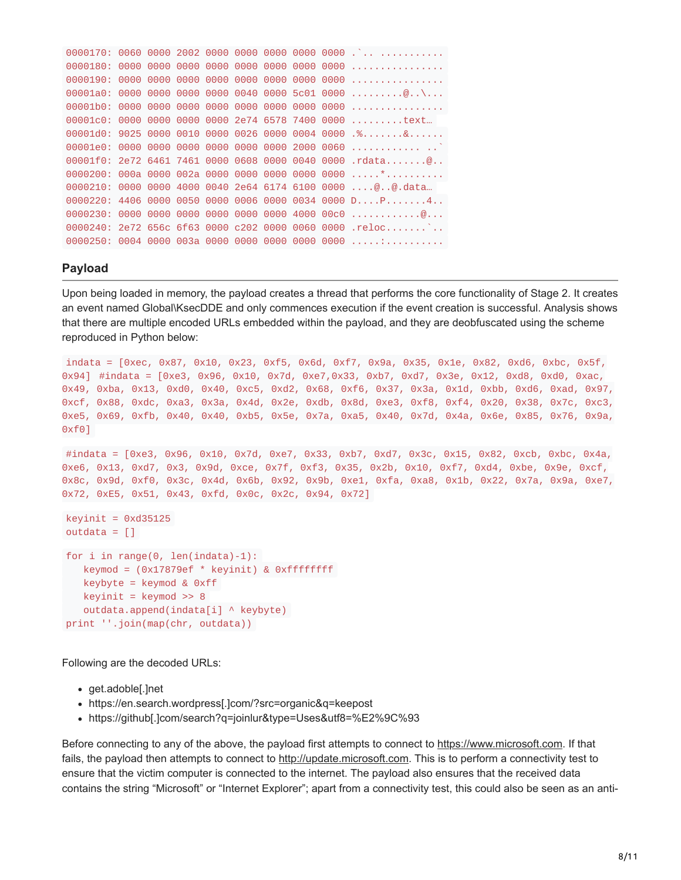|  |  |  |  | $00001c0$ : 0000 0000 0000 0000 2e74 6578 7400 0000 text                          |
|--|--|--|--|-----------------------------------------------------------------------------------|
|  |  |  |  | $00001d0: 9025 0000 0010 0000 0026 0000 0004 0000 .$ %&                           |
|  |  |  |  |                                                                                   |
|  |  |  |  |                                                                                   |
|  |  |  |  |                                                                                   |
|  |  |  |  | $0000210$ : 0000 0000 4000 0040 2e64 6174 6100 0000 $\emptyset$ $\emptyset$ .data |
|  |  |  |  | $0000220$ : 4406 0000 0050 0000 0006 0000 0034 0000 DP4                           |
|  |  |  |  | $0000230: 0000 0000 0000 0000 0000 0000 4000 0000  \dots  \dots$                  |
|  |  |  |  | 0000240: 2e72 656c 6f63 0000 c202 0000 0060 0000 .reloc                           |
|  |  |  |  |                                                                                   |

#### **Payload**

Upon being loaded in memory, the payload creates a thread that performs the core functionality of Stage 2. It creates an event named Global\KsecDDE and only commences execution if the event creation is successful. Analysis shows that there are multiple encoded URLs embedded within the payload, and they are deobfuscated using the scheme reproduced in Python below:

```
indata = [0xec, 0x87, 0x10, 0x23, 0xf5, 0x6d, 0xf7, 0x9a, 0x35, 0x1e, 0x82, 0xd6, 0xbc, 0x5f,
0x94] #indata = [0xe3, 0x96, 0x10, 0x7d, 0xe7,0x33, 0xb7, 0xd7, 0x3e, 0x12, 0xd8, 0xd0, 0xac,
0x49, 0xba, 0x13, 0xd0, 0x40, 0xc5, 0xd2, 0x68, 0xf6, 0x37, 0x3a, 0x1d, 0xbb, 0xd6, 0xad, 0x97,
0xcf, 0x88, 0xdc, 0xa3, 0x3a, 0x4d, 0x2e, 0xdb, 0x8d, 0xe3, 0xf8, 0xf4, 0x20, 0x38, 0x7c, 0xc3,
0xe5, 0x69, 0xfb, 0x40, 0x40, 0xb5, 0x5e, 0x7a, 0xa5, 0x40, 0x7d, 0x4a, 0x6e, 0x85, 0x76, 0x9a,
0xf0]
#indata = [0xe3, 0x96, 0x10, 0x7d, 0xe7, 0x33, 0xb7, 0xd7, 0x3c, 0x15, 0x82, 0xcb, 0xbc, 0x4a,
0xe6, 0x13, 0xd7, 0x3, 0x9d, 0xce, 0x7f, 0xf3, 0x35, 0x2b, 0x10, 0xf7, 0xd4, 0xbe, 0x9e, 0xcf,
0x8c, 0x9d, 0xf0, 0x3c, 0x4d, 0x6b, 0x92, 0x9b, 0xe1, 0xfa, 0xa8, 0x1b, 0x22, 0x7a, 0x9a, 0xe7,
0x72, 0xE5, 0x51, 0x43, 0xfd, 0x0c, 0x2c, 0x94, 0x72]
keyinit = 0xd35125
outdata = []for i in range(0, len(indata)-1):
   keymod = (0x17879ef * keyinit) & 0xffffffff
   keybyte = keyword & Qxffkeyinit = keymod \gg 8outdata.append(indata[i] \land keybyte)
print ''.join(map(chr, outdata))
```
Following are the decoded URLs:

- get.adoble[.]net
- https://en.search.wordpress[.]com/?src=organic&q=keepost
- https://github[.]com/search?q=joinlur&type=Uses&utf8=%E2%9C%93

Before connecting to any of the above, the payload first attempts to connect to [https://www.microsoft.com.](https://www.microsoft.com/) If that fails, the payload then attempts to connect to [http://update.microsoft.com.](http://update.microsoft.com/) This is to perform a connectivity test to ensure that the victim computer is connected to the internet. The payload also ensures that the received data contains the string "Microsoft" or "Internet Explorer"; apart from a connectivity test, this could also be seen as an anti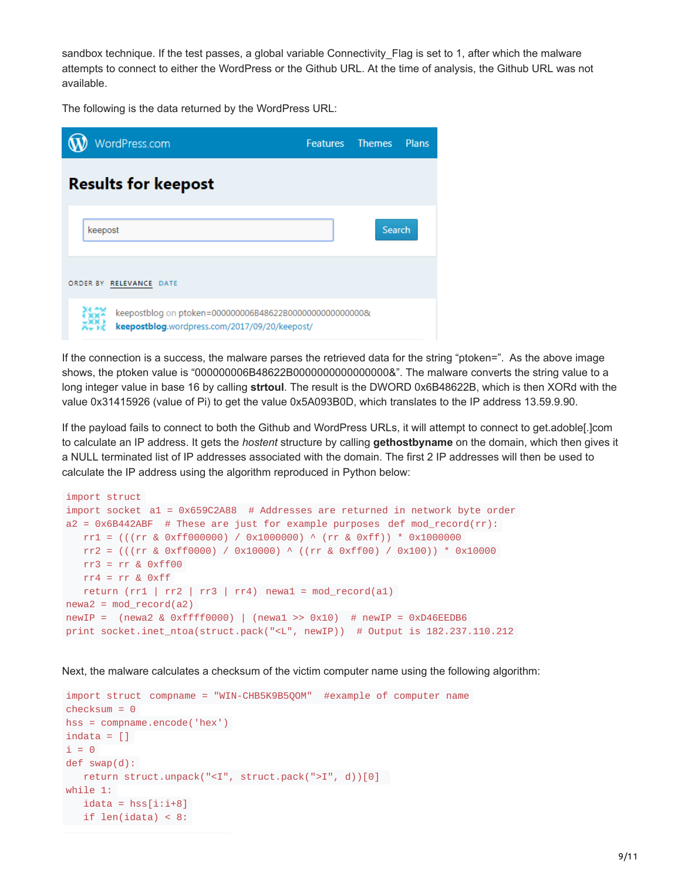sandbox technique. If the test passes, a global variable Connectivity\_Flag is set to 1, after which the malware attempts to connect to either the WordPress or the Github URL. At the time of analysis, the Github URL was not available.

The following is the data returned by the WordPress URL:

| WordPress.com                                                                                             | <b>Features</b> | <b>Themes</b> | <b>Plans</b> |
|-----------------------------------------------------------------------------------------------------------|-----------------|---------------|--------------|
| <b>Results for keepost</b>                                                                                |                 |               |              |
| keepost                                                                                                   |                 | <b>Search</b> |              |
| ORDER BY RELEVANCE DATE                                                                                   |                 |               |              |
| keepostblog on ptoken=000000006B48622B00000000000000000&<br>keepostblog.wordpress.com/2017/09/20/keepost/ |                 |               |              |

If the connection is a success, the malware parses the retrieved data for the string "ptoken=". As the above image shows, the ptoken value is "000000006B48622B0000000000000000&". The malware converts the string value to a long integer value in base 16 by calling **strtoul**. The result is the DWORD 0x6B48622B, which is then XORd with the value 0x31415926 (value of Pi) to get the value 0x5A093B0D, which translates to the IP address 13.59.9.90.

If the payload fails to connect to both the Github and WordPress URLs, it will attempt to connect to get.adoble[.]com to calculate an IP address. It gets the *hostent* structure by calling **gethostbyname** on the domain, which then gives it a NULL terminated list of IP addresses associated with the domain. The first 2 IP addresses will then be used to calculate the IP address using the algorithm reproduced in Python below:

```
import struct
import socket a1 = 0x659C2A88 # Addresses are returned in network byte order
a2 = 0x6B442ABF # These are just for example purposes def mod_record(rr):
  rr1 = (((rr & 0xff000000) / 0x1000000) ^ (rr & 0xff)) * 0x1000000
  rr2 = (((rr & 0xff0000) / 0x10000) ^ ((rr & 0xff00) / 0x100)) * 0x10000
  rr3 = rr & 0xff00rr4 = rr & Qxffreturn (rr1 | rr2 | rr3 | rr4) newa1 = mod\_record(a1)newa2 = mod record(a2)newIP = (newa2 & 0xffff0000) | (newa1 >> 0x10) # newIP = 0xD46EEDB6
print socket.inet_ntoa(struct.pack("<L", newIP)) # Output is 182.237.110.212
```
Next, the malware calculates a checksum of the victim computer name using the following algorithm:

```
import struct compname = "WIN-CHB5K9B5QOM" #example of computer name
checksum = 0hss = compname.encode('hex')
indata = \lceil \rceili = 0def swap(d):
  return struct.unpack("<I", struct.pack(">I", d))[0]
while 1:
  idata = hss[i:i+8]if len(idata) < 8:
```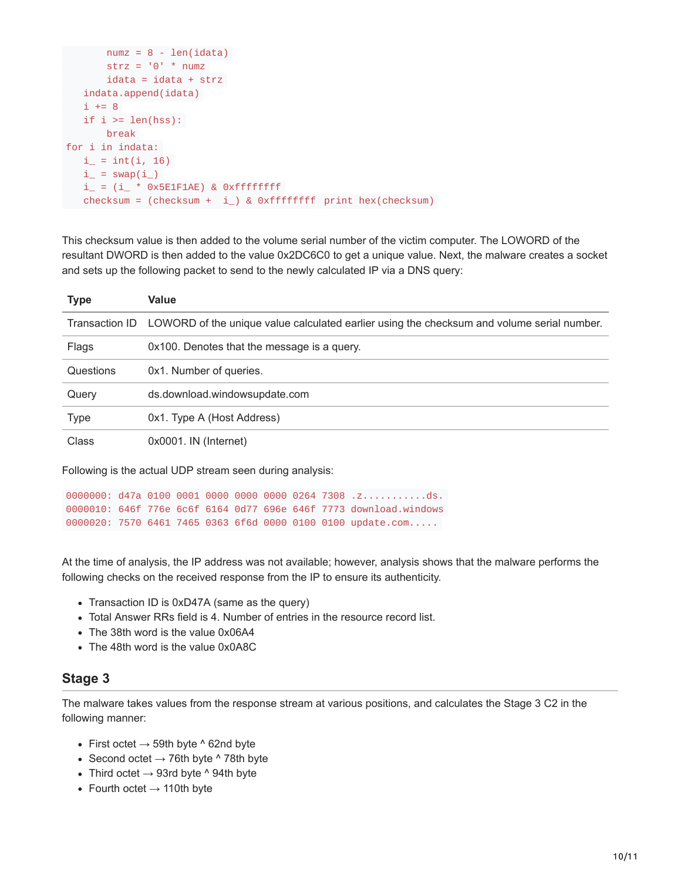```
numz = 8 - len(idata)strz = '0' * numz
      idata = idata + strz
  indata.append(idata)
  i += 8if i \geq 1en(hss):
      break
for i in indata:
  i_{-} = int(i, 16)
  i_{-} = swap(i_{-})
  i_{-} = (i_{-} * 0x5E1F1AE) & 0xfffffffff
checksum = (checksum + i) & 0xffffffff print hex(checksum)
```
This checksum value is then added to the volume serial number of the victim computer. The LOWORD of the resultant DWORD is then added to the value 0x2DC6C0 to get a unique value. Next, the malware creates a socket and sets up the following packet to send to the newly calculated IP via a DNS query:

| <b>Type</b> | Value                                                                                                     |
|-------------|-----------------------------------------------------------------------------------------------------------|
|             | Transaction ID LOWORD of the unique value calculated earlier using the checksum and volume serial number. |
| Flags       | 0x100. Denotes that the message is a query.                                                               |
| Questions   | 0x1. Number of queries.                                                                                   |
| Query       | ds.download.windowsupdate.com                                                                             |
| Type        | 0x1. Type A (Host Address)                                                                                |
| Class       | $0x0001$ . IN (Internet)                                                                                  |

Following is the actual UDP stream seen during analysis:

```
0000000: d47a 0100 0001 0000 0000 0000 0264 7308 .z............ds.
0000010: 646f 776e 6c6f 6164 0d77 696e 646f 7773 download.windows
0000020: 7570 6461 7465 0363 6f6d 0000 0100 0100 update.com.....
```
At the time of analysis, the IP address was not available; however, analysis shows that the malware performs the following checks on the received response from the IP to ensure its authenticity.

- Transaction ID is 0xD47A (same as the query)
- Total Answer RRs field is 4. Number of entries in the resource record list.
- The 38th word is the value 0x06A4
- The 48th word is the value 0x0A8C

## **Stage 3**

The malware takes values from the response stream at various positions, and calculates the Stage 3 C2 in the following manner:

- First octet  $\rightarrow$  59th byte  $\land$  62nd byte
- Second octet  $\rightarrow$  76th byte  $^{\wedge}$  78th byte
- Third octet  $\rightarrow$  93rd byte  $\land$  94th byte
- Fourth octet  $\rightarrow$  110th byte